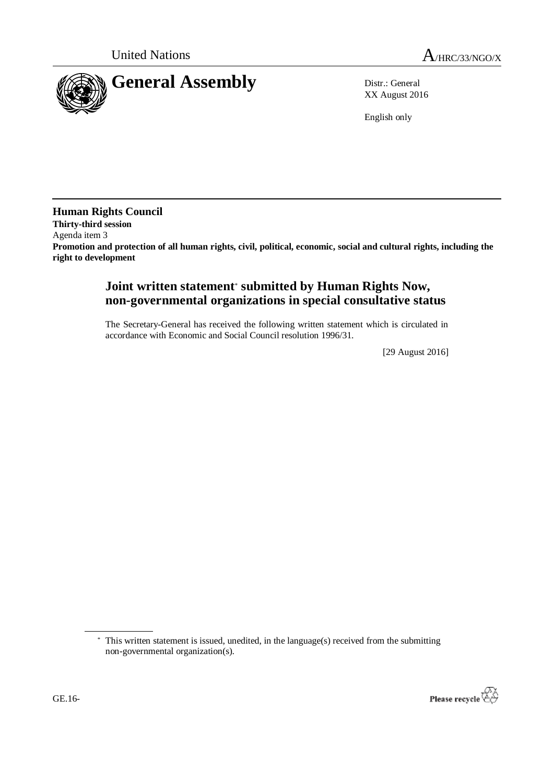

XX August 2016

English only

**Human Rights Council Thirty-third session** Agenda item 3 **Promotion and protection of all human rights, civil, political, economic, social and cultural rights, including the right to development**

# **Joint written statement**\* **submitted by Human Rights Now, non-governmental organizations in special consultative status**

The Secretary-General has received the following written statement which is circulated in accordance with Economic and Social Council resolution 1996/31.

[29 August 2016]

<sup>\*</sup> This written statement is issued, unedited, in the language(s) received from the submitting non-governmental organization(s).

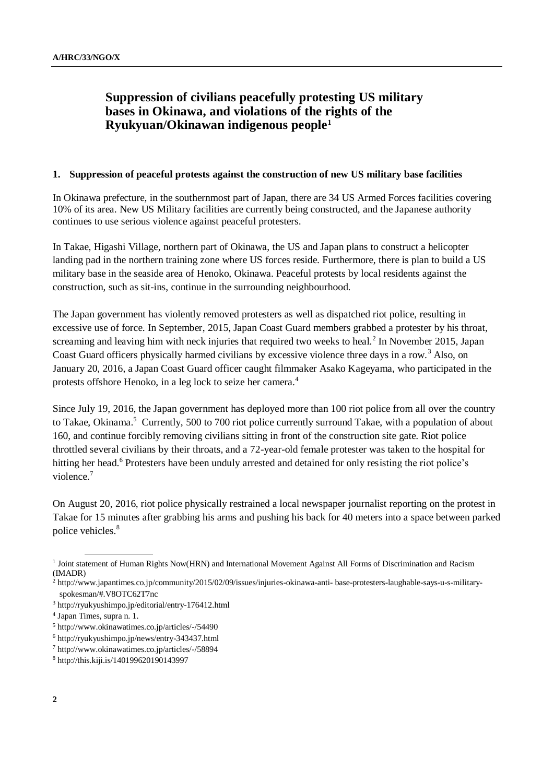# **Suppression of civilians peacefully protesting US military bases in Okinawa, and violations of the rights of the Ryukyuan/Okinawan indigenous people<sup>1</sup>**

#### **1. Suppression of peaceful protests against the construction of new US military base facilities**

In Okinawa prefecture, in the southernmost part of Japan, there are 34 US Armed Forces facilities covering 10% of its area. New US Military facilities are currently being constructed, and the Japanese authority continues to use serious violence against peaceful protesters.

In Takae, Higashi Village, northern part of Okinawa, the US and Japan plans to construct a helicopter landing pad in the northern training zone where US forces reside. Furthermore, there is plan to build a US military base in the seaside area of Henoko, Okinawa. Peaceful protests by local residents against the construction, such as sit-ins, continue in the surrounding neighbourhood.

The Japan government has violently removed protesters as well as dispatched riot police, resulting in excessive use of force. In September, 2015, Japan Coast Guard members grabbed a protester by his throat, screaming and leaving him with neck injuries that required two weeks to heal.<sup>2</sup> In November 2015, Japan Coast Guard officers physically harmed civilians by excessive violence three days in a row. <sup>3</sup> Also, on January 20, 2016, a Japan Coast Guard officer caught filmmaker Asako Kageyama, who participated in the protests offshore Henoko, in a leg lock to seize her camera.<sup>4</sup>

Since July 19, 2016, the Japan government has deployed more than 100 riot police from all over the country to Takae, Okinama. <sup>5</sup> Currently, 500 to 700 riot police currently surround Takae, with a population of about 160, and continue forcibly removing civilians sitting in front of the construction site gate. Riot police throttled several civilians by their throats, and a 72-year-old female protester was taken to the hospital for hitting her head.<sup>6</sup> Protesters have been unduly arrested and detained for only resisting the riot police's violence. 7

On August 20, 2016, riot police physically restrained a local newspaper journalist reporting on the protest in Takae for 15 minutes after grabbing his arms and pushing his back for 40 meters into a space between parked police vehicles.<sup>8</sup>

<sup>&</sup>lt;sup>1</sup> Joint statement of Human Rights Now(HRN) and International Movement Against All Forms of Discrimination and Racism (IMADR)

<sup>2</sup> http://www.japantimes.co.jp/community/2015/02/09/issues/injuries-okinawa-anti- base-protesters-laughable-says-u-s-militaryspokesman/#.V8OTC62T7nc

<sup>3</sup> http://ryukyushimpo.jp/editorial/entry-176412.html

<sup>4</sup> Japan Times, supra n. 1.

<sup>5</sup> http://www.okinawatimes.co.jp/articles/-/54490

<sup>6</sup> http://ryukyushimpo.jp/news/entry-343437.html

<sup>7</sup> http://www.okinawatimes.co.jp/articles/-/58894

<sup>8</sup> http://this.kiji.is/140199620190143997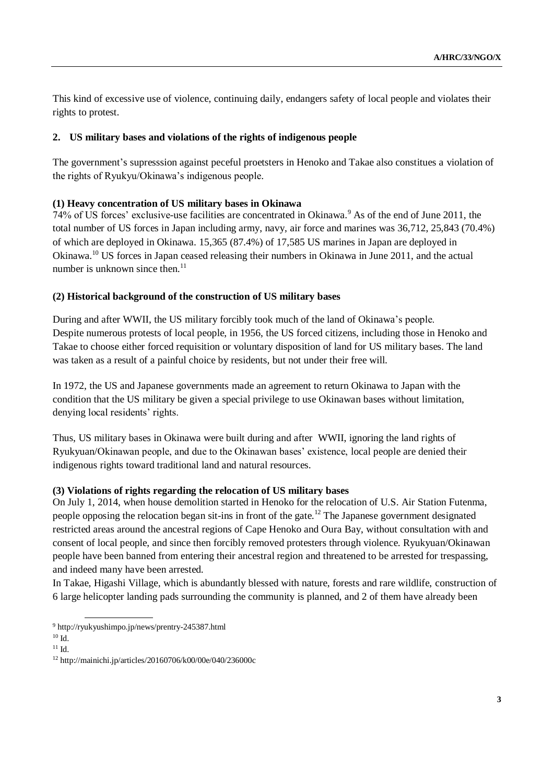This kind of excessive use of violence, continuing daily, endangers safety of local people and violates their rights to protest.

# **2. US military bases and violations of the rights of indigenous people**

The government's supresssion against peceful proetsters in Henoko and Takae also constitues a violation of the rights of Ryukyu/Okinawa's indigenous people.

# **(1) Heavy concentration of US military bases in Okinawa**

74% of US forces' exclusive-use facilities are concentrated in Okinawa.<sup>9</sup> As of the end of June 2011, the total number of US forces in Japan including army, navy, air force and marines was 36,712, 25,843 (70.4%) of which are deployed in Okinawa. 15,365 (87.4%) of 17,585 US marines in Japan are deployed in Okinawa.<sup>10</sup> US forces in Japan ceased releasing their numbers in Okinawa in June 2011, and the actual number is unknown since then. $^{11}$ 

# **(2) Historical background of the construction of US military bases**

During and after WWII, the US military forcibly took much of the land of Okinawa's people. Despite numerous protests of local people, in 1956, the US forced citizens, including those in Henoko and Takae to choose either forced requisition or voluntary disposition of land for US military bases. The land was taken as a result of a painful choice by residents, but not under their free will.

In 1972, the US and Japanese governments made an agreement to return Okinawa to Japan with the condition that the US military be given a special privilege to use Okinawan bases without limitation, denying local residents' rights.

Thus, US military bases in Okinawa were built during and after WWII, ignoring the land rights of Ryukyuan/Okinawan people, and due to the Okinawan bases' existence, local people are denied their indigenous rights toward traditional land and natural resources.

### **(3) Violations of rights regarding the relocation of US military bases**

On July 1, 2014, when house demolition started in Henoko for the relocation of U.S. Air Station Futenma, people opposing the relocation began sit-ins in front of the gate.<sup>12</sup> The Japanese government designated restricted areas around the ancestral regions of Cape Henoko and Oura Bay, without consultation with and consent of local people, and since then forcibly removed protesters through violence. Ryukyuan/Okinawan people have been banned from entering their ancestral region and threatened to be arrested for trespassing, and indeed many have been arrested.

In Takae, Higashi Village, which is abundantly blessed with nature, forests and rare wildlife, construction of 6 large helicopter landing pads surrounding the community is planned, and 2 of them have already been

<sup>9</sup> http://ryukyushimpo.jp/news/prentry-245387.html

<sup>10</sup> Id.

<sup>11</sup> Id.

<sup>12</sup> http://mainichi.jp/articles/20160706/k00/00e/040/236000c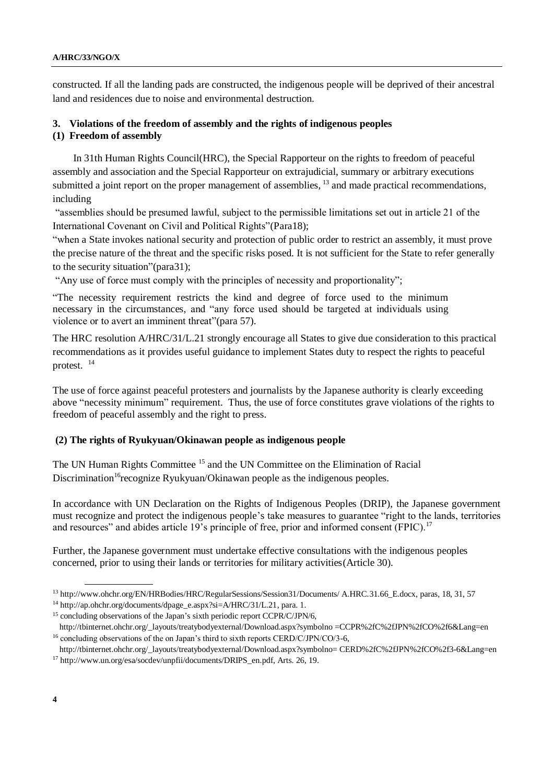constructed. If all the landing pads are constructed, the indigenous people will be deprived of their ancestral land and residences due to noise and environmental destruction.

#### **3. Violations of the freedom of assembly and the rights of indigenous peoples (1) Freedom of assembly**

In 31th Human Rights Council(HRC), the Special Rapporteur on the rights to freedom of peaceful assembly and association and the Special Rapporteur on extrajudicial, summary or arbitrary executions submitted a joint report on the proper management of assemblies, <sup>13</sup> and made practical recommendations, including

"assemblies should be presumed lawful, subject to the permissible limitations set out in article 21 of the International Covenant on Civil and Political Rights"(Para18);

"when a State invokes national security and protection of public order to restrict an assembly, it must prove the precise nature of the threat and the specific risks posed. It is not sufficient for the State to refer generally to the security situation"(para31);

"Any use of force must comply with the principles of necessity and proportionality";

"The necessity requirement restricts the kind and degree of force used to the minimum necessary in the circumstances, and "any force used should be targeted at individuals using violence or to avert an imminent threat"(para 57).

The HRC resolution A/HRC/31/L.21 strongly encourage all States to give due consideration to this practical recommendations as it provides useful guidance to implement States duty to respect the rights to peaceful protest. <sup>14</sup>

The use of force against peaceful protesters and journalists by the Japanese authority is clearly exceeding above "necessity minimum" requirement. Thus, the use of force constitutes grave violations of the rights to freedom of peaceful assembly and the right to press.

### **(2) The rights of Ryukyuan/Okinawan people as indigenous people**

The UN Human Rights Committee <sup>15</sup> and the UN Committee on the Elimination of Racial Discrimination<sup>16</sup>recognize Ryukyuan/Okinawan people as the indigenous peoples.

In accordance with UN Declaration on the Rights of Indigenous Peoples (DRIP), the Japanese government must recognize and protect the indigenous people's take measures to guarantee "right to the lands, territories and resources" and abides article 19's principle of free, prior and informed consent (FPIC).<sup>17</sup>

Further, the Japanese government must undertake effective consultations with the indigenous peoples concerned, prior to using their lands or territories for military activities(Article 30).

<sup>13</sup> http://www.ohchr.org/EN/HRBodies/HRC/RegularSessions/Session31/Documents/ A.HRC.31.66\_E.docx, paras, 18, 31, 57

<sup>14</sup> [http://ap.ohchr.org/documents/dpage\\_e.aspx?si=A/HRC/31/L.21,](http://ap.ohchr.org/documents/dpage_e.aspx?si=A/HRC/31/L.21) para. 1.

<sup>&</sup>lt;sup>15</sup> concluding observations of the Japan's sixth periodic report CCPR/C/JPN/6,

http://tbinternet.ohchr.org/\_layouts/treatybodyexternal/Download.aspx?symbolno =CCPR%2fC%2fJPN%2fCO%2f6&Lang=en <sup>16</sup> concluding observations of the on Japan's third to sixth reports CERD/C/JPN/CO/3-6,

http://tbinternet.ohchr.org/\_layouts/treatybodyexternal/Download.aspx?symbolno= CERD%2fC%2fJPN%2fCO%2f3-6&Lang=en <sup>17</sup> http://www.un.org/esa/socdev/unpfii/documents/DRIPS\_en.pdf, Arts. 26, 19.